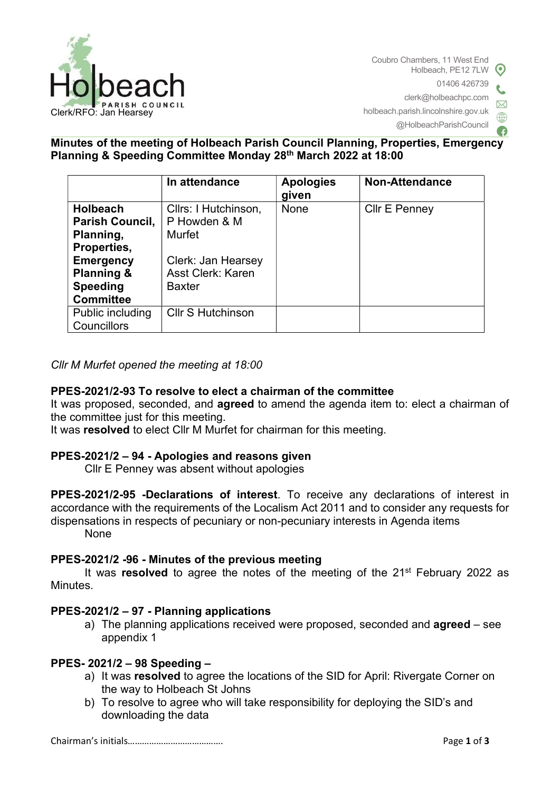

Coubro Chambers, 11 West End Holbeach, PE12 7LW 01406 426739 clerk@holbeachpc.com holbeach.parish.lincolnshire.gov.uk @HolbeachParishCouncil

# Minutes of the meeting of Holbeach Parish Council Planning, Properties, Emergency Planning & Speeding Committee Monday 28th March 2022 at 18:00

|                        | In attendance            | <b>Apologies</b><br>given | <b>Non-Attendance</b> |
|------------------------|--------------------------|---------------------------|-----------------------|
| <b>Holbeach</b>        | Cllrs: I Hutchinson,     | None                      | Cllr E Penney         |
| <b>Parish Council,</b> | P Howden & M             |                           |                       |
| Planning,              | <b>Murfet</b>            |                           |                       |
| Properties,            |                          |                           |                       |
| <b>Emergency</b>       | Clerk: Jan Hearsey       |                           |                       |
| <b>Planning &amp;</b>  | <b>Asst Clerk: Karen</b> |                           |                       |
| <b>Speeding</b>        | <b>Baxter</b>            |                           |                       |
| <b>Committee</b>       |                          |                           |                       |
| Public including       | <b>Cllr S Hutchinson</b> |                           |                       |
| Councillors            |                          |                           |                       |

### Cllr M Murfet opened the meeting at 18:00

### PPES-2021/2-93 To resolve to elect a chairman of the committee

It was proposed, seconded, and **agreed** to amend the agenda item to: elect a chairman of the committee just for this meeting.

It was resolved to elect Cllr M Murfet for chairman for this meeting.

### PPES-2021/2 – 94 - Apologies and reasons given

Cllr E Penney was absent without apologies

PPES-2021/2-95 -Declarations of interest. To receive any declarations of interest in accordance with the requirements of the Localism Act 2011 and to consider any requests for dispensations in respects of pecuniary or non-pecuniary interests in Agenda items None

### PPES-2021/2 -96 - Minutes of the previous meeting

It was resolved to agree the notes of the meeting of the  $21^{st}$  February 2022 as **Minutes** 

### PPES-2021/2 – 97 - Planning applications

a) The planning applications received were proposed, seconded and **agreed** – see appendix 1

### PPES- 2021/2 – 98 Speeding –

- a) It was resolved to agree the locations of the SID for April: Rivergate Corner on the way to Holbeach St Johns
- b) To resolve to agree who will take responsibility for deploying the SID's and downloading the data

Chairman's initials…………………………………. Page 1 of 3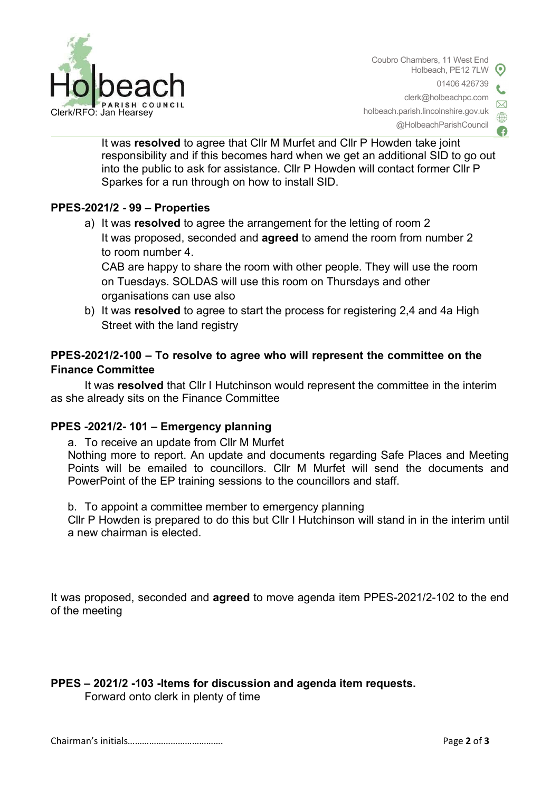

Coubro Chambers, 11 West End Holbeach, PE12 7LW 01406 426739 clerk@holbeachpc.com  $\triangleright\!\!\!\!\triangleleft$ holbeach.parish.lincolnshire.gov.uk @HolbeachParishCouncil

It was resolved to agree that Cllr M Murfet and Cllr P Howden take joint responsibility and if this becomes hard when we get an additional SID to go out into the public to ask for assistance. Cllr P Howden will contact former Cllr P Sparkes for a run through on how to install SID.

### PPES-2021/2 - 99 – Properties

a) It was resolved to agree the arrangement for the letting of room 2 It was proposed, seconded and **agreed** to amend the room from number 2 to room number 4.

CAB are happy to share the room with other people. They will use the room on Tuesdays. SOLDAS will use this room on Thursdays and other organisations can use also

b) It was resolved to agree to start the process for registering 2,4 and 4a High Street with the land registry

## PPES-2021/2-100 – To resolve to agree who will represent the committee on the Finance Committee

It was resolved that Cllr I Hutchinson would represent the committee in the interim as she already sits on the Finance Committee

### PPES -2021/2- 101 – Emergency planning

a. To receive an update from Cllr M Murfet

Nothing more to report. An update and documents regarding Safe Places and Meeting Points will be emailed to councillors. Cllr M Murfet will send the documents and PowerPoint of the EP training sessions to the councillors and staff.

b. To appoint a committee member to emergency planning

Cllr P Howden is prepared to do this but Cllr I Hutchinson will stand in in the interim until a new chairman is elected.

It was proposed, seconded and agreed to move agenda item PPES-2021/2-102 to the end of the meeting

PPES – 2021/2 -103 -Items for discussion and agenda item requests.

Forward onto clerk in plenty of time